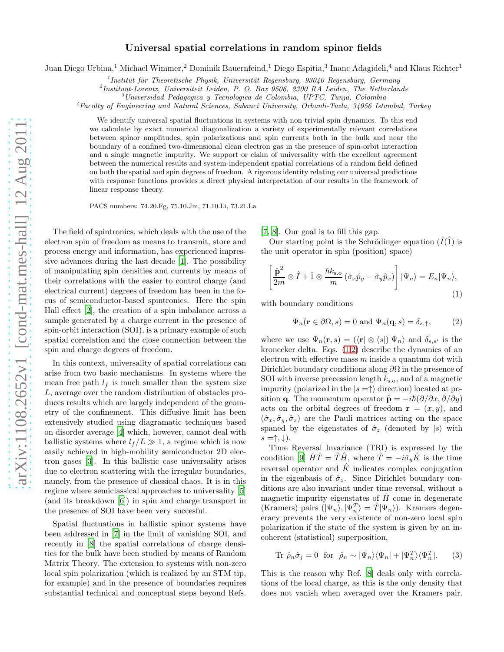## Universal spatial correlations in random spinor fields

Juan Diego Urbina,<sup>1</sup> Michael Wimmer,<sup>2</sup> Dominik Bauernfeind,<sup>1</sup> Diego Espitia,<sup>3</sup> Inanc Adagideli,<sup>4</sup> and Klaus Richter<sup>1</sup>

 $1$ Institut für Theoretische Physik, Universität Regensburg, 93040 Regensburg, Germany

 $^{2}$ Instituut-Lorentz, Universiteit Leiden, P. O. Box 9506, 2300 RA Leiden, The Netherlands

<sup>3</sup>Universidad Pedagogica y Tecnologica de Colombia, UPTC, Tunja, Colombia

<sup>4</sup>Faculty of Engineering and Natural Sciences, Sabanci University, Orhanli-Tuzla, 34956 Istambul, Turkey

We identify universal spatial fluctuations in systems with non trivial spin dynamics. To this end we calculate by exact numerical diagonalization a variety of experimentally relevant correlations between spinor amplitudes, spin polarizations and spin currents both in the bulk and near the boundary of a confined two-dimensional clean electron gas in the presence of spin-orbit interaction and a single magnetic impurity. We support or claim of universality with the excellent agreement between the numerical results and system-independent spatial correlations of a random field defined on both the spatial and spin degrees of freedom. A rigorous identity relating our universal predictions with response functions provides a direct physical interpretation of our results in the framework of linear response theory.

PACS numbers: 74.20.Fg, 75.10.Jm, 71.10.Li, 73.21.La

The field of spintronics, which deals with the use of the electron spin of freedom as means to transmit, store and process energy and information, has experienced impressive advances during the last decade [\[1](#page-3-0)]. The possibility of manipulating spin densities and currents by means of their correlations with the easier to control charge (and electrical current) degrees of freedom has been in the focus of semiconductor-based spintronics. Here the spin Hall effect [\[2](#page-3-1)], the creation of a spin imbalance across a sample generated by a charge current in the presence of spin-orbit interaction (SOI), is a primary example of such spatial correlation and the close connection between the spin and charge degrees of freedom.

In this context, universality of spatial correlations can arise from two basic mechanisms. In systems where the mean free path  $l_f$  is much smaller than the system size L, average over the random distribution of obstacles produces results which are largely independent of the geometry of the confinement. This diffusive limit has been extensively studied using diagramatic techniques based on disorder average [\[4\]](#page-3-2) which, however, cannot deal with ballistic systems where  $l_f/L \gg 1$ , a regime which is now easily achieved in high-mobility semiconductor 2D electron gases [\[3](#page-3-3)]. In this ballistic case universality arises due to electron scattering with the irregular boundaries, namely, from the presence of classical chaos. It is in this regime where semiclassical approaches to universality [\[5](#page-3-4)] (and its breakdown [\[6\]](#page-3-5)) in spin and charge transport in the presence of SOI have been very succesful.

Spatial fluctuations in ballistic spinor systems have been addressed in [\[7\]](#page-3-6) in the limit of vanishing SOI, and recently in [\[8\]](#page-3-7) the spatial correlations of charge densities for the bulk have been studied by means of Random Matrix Theory. The extension to systems with non-zero local spin polarization (which is realized by an STM tip, for example) and in the presence of boundaries requires substantial technical and conceptual steps beyond Refs.

[\[7,](#page-3-6) [8\]](#page-3-7). Our goal is to fill this gap.

Our starting point is the Schrödinger equation  $(I(1))$  is the unit operator in spin (position) space)

<span id="page-0-0"></span>
$$
\left[\frac{\hat{\mathbf{p}}^2}{2m} \otimes \hat{I} + \hat{1} \otimes \frac{\hbar k_{\rm s.o}}{m} \left(\hat{\sigma}_x \hat{p}_y - \hat{\sigma}_y \hat{p}_x\right)\right] |\Psi_n\rangle = E_n |\Psi_n\rangle, \tag{1}
$$

with boundary conditions

<span id="page-0-1"></span>
$$
\Psi_n(\mathbf{r} \in \partial \Omega, s) = 0 \text{ and } \Psi_n(\mathbf{q}, s) = \delta_{s, \uparrow}, \tag{2}
$$

where we use  $\Psi_n(\mathbf{r},s) = (\langle \mathbf{r} | \otimes \langle s | \rangle | \Psi_n)$  and  $\delta_{s,s'}$  is the kronecker delta. Eqs. [\(1](#page-0-0)[,2\)](#page-0-1) describe the dynamics of an electron with effective mass  $m$  inside a quantum dot with Dirichlet boundary conditions along  $\partial\Omega$  in the presence of SOI with inverse precession length  $k_{\rm s.o.}$  and of a magnetic impurity (polarized in the  $|s = \uparrow\rangle$  direction) located at position q. The momentum operator  $\hat{\mathbf{p}} = -i\hbar(\partial/\partial x, \partial/\partial y)$ acts on the orbital degrees of freedom  $\mathbf{r} = (x, y)$ , and  $(\hat{\sigma}_x, \hat{\sigma}_y, \hat{\sigma}_z)$  are the Pauli matrices acting on the space spaned by the eigenstates of  $\hat{\sigma}_z$  (denoted by  $|s\rangle$  with  $s = \uparrow, \downarrow$ .

Time Reversal Invariance (TRI) is expressed by the condition [\[9\]](#page-3-8)  $\hat{H}\hat{T} = \hat{T}\hat{H}$ , where  $\hat{T} = -i\hat{\sigma}_y\hat{K}$  is the time reversal operator and  $\hat{K}$  indicates complex conjugation in the eigenbasis of  $\hat{\sigma}_z$ . Since Dirichlet boundary conditions are also invariant under time reversal, without a magnetic impurity eigenstates of  $\hat{H}$  come in degenerate (Kramers) pairs  $(|\Psi_n\rangle, |\Psi_n^T\rangle = \hat{T}|\Psi_n\rangle)$ . Kramers degeneracy prevents the very existence of non-zero local spin polarization if the state of the system is given by an incoherent (statistical) superposition,

$$
\text{Tr } \hat{\rho}_n \hat{\sigma}_j = 0 \quad \text{for } \quad \hat{\rho}_n \sim |\Psi_n\rangle\langle\Psi_n| + |\Psi_n^T\rangle\langle\Psi_n^T|.
$$
 (3)

This is the reason why Ref. [\[8](#page-3-7)] deals only with correlations of the local charge, as this is the only density that does not vanish when averaged over the Kramers pair.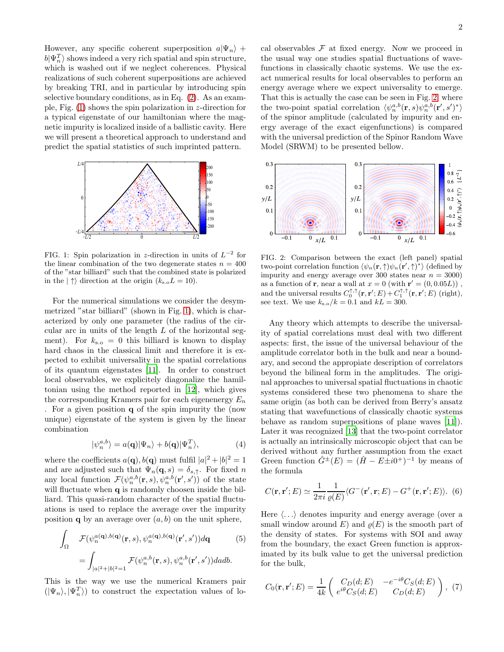However, any specific coherent superposition  $a|\Psi_n\rangle$  +  $b|\Psi_n^T\rangle$  shows indeed a very rich spatial and spin structure, which is washed out if we neglect coherences. Physical realizations of such coherent superpositions are achieved by breaking TRI, and in particular by introducing spin selective boundary conditions, as in Eq. [\(2\)](#page-0-1). As an example, Fig.  $(1)$  shows the spin polarization in *z*-direction for a typical eigenstate of our hamiltonian where the magnetic impurity is localized inside of a ballistic cavity. Here we will present a theoretical approach to understand and predict the spatial statistics of such imprinted pattern.



<span id="page-1-0"></span>FIG. 1: Spin polarization in z-direction in units of  $L^{-2}$  for the linear combination of the two degenerate states  $n = 400$ of the "star billiard" such that the combined state is polarized in the  $|\uparrow\rangle$  direction at the origin  $(k_{s.o} L = 10)$ .

For the numerical simulations we consider the desymmetrized "star billiard" (shown in Fig. [1\)](#page-1-0), which is characterized by only one parameter (the radius of the circular arc in units of the length  $L$  of the horizontal segment). For  $k_{s,o} = 0$  this billiard is known to display hard chaos in the classical limit and therefore it is expected to exhibit universality in the spatial correlations of its quantum eigenstates [\[11\]](#page-3-9). In order to construct local observables, we explicitely diagonalize the hamiltonian using the method reported in [\[12\]](#page-3-10), which gives the corresponding Kramers pair for each eigenenergy  $E_n$ . For a given position q of the spin impurity the (now unique) eigenstate of the system is given by the linear combination

$$
|\psi_n^{a,b}\rangle = a(\mathbf{q})|\Psi_n\rangle + b(\mathbf{q})|\Psi_n^T\rangle,\tag{4}
$$

where the coefficients  $a(\mathbf{q}), b(\mathbf{q})$  must fulfil  $|a|^2 + |b|^2 = 1$ and are adjusted such that  $\Psi_n(\mathbf{q}, s) = \delta_{s,\uparrow}$ . For fixed n any local function  $\mathcal{F}(\psi_n^{a,b}(\mathbf{r},s), \psi_n^{a,b}(\mathbf{r}',s'))$  of the state will fluctuate when **q** is randomly choosen inside the billiard. This quasi-random character of the spatial fluctuations is used to replace the average over the impurity position q by an average over  $(a, b)$  on the unit sphere,

$$
\int_{\Omega} \mathcal{F}(\psi_n^{a(\mathbf{q}),b(\mathbf{q})}(\mathbf{r},s), \psi_n^{a(\mathbf{q}),b(\mathbf{q})}(\mathbf{r}',s'))d\mathbf{q}
$$
\n
$$
= \int_{|a|^2+|b|^2=1} \mathcal{F}(\psi_n^{a,b}(\mathbf{r},s), \psi_n^{a,b}(\mathbf{r}',s'))dadb.
$$
\n
$$
(5)
$$

This is the way we use the numerical Kramers pair  $(|\Psi_n\rangle, |\Psi_n^T\rangle)$  to construct the expectation values of lo-

cal observables  $F$  at fixed energy. Now we proceed in the usual way one studies spatial fluctuations of wavefunctions in classically chaotic systems. We use the exact numerical results for local observables to perform an energy average where we expect universality to emerge. That this is actually the case can be seen in Fig. [2,](#page-1-1) where the two-point spatial correlation  $\langle \psi_n^{a,b}(\mathbf{r},s)\psi_n^{a,b}(\mathbf{r}',s')^* \rangle$ of the spinor amplitude (calculated by impurity and energy average of the exact eigenfunctions) is compared with the universal prediction of the Spinor Random Wave Model (SRWM) to be presented bellow.



<span id="page-1-1"></span>FIG. 2: Comparison between the exact (left panel) spatial two-point correlation function  $\langle \psi_n(\mathbf{r}, \uparrow)\psi_n(\mathbf{r}', \uparrow)^* \rangle$  (defined by impurity and energy average over 300 states near  $n = 3000$ ) as a function of **r**, near a wall at  $x = 0$  (with  $\mathbf{r}' = (0, 0.05L)$ ), and the universal results  $C_0^{\uparrow,\uparrow}(\mathbf{r},\mathbf{r}';E) + C_1^{\uparrow,\uparrow}(\mathbf{r},\mathbf{r}';E)$  (right), see text. We use  $k_{\rm s.o.}/k = 0.1$  and  $k = 300$ .

Any theory which attempts to describe the universality of spatial correlations must deal with two different aspects: first, the issue of the universal behaviour of the amplitude correlator both in the bulk and near a boundary, and second the appropiate description of correlators beyond the bilineal form in the amplitudes. The original approaches to universal spatial fluctuations in chaotic systems considered these two phenomena to share the same origin (as both can be derived from Berry's ansatz stating that wavefunctions of classically chaotic systems behave as random superpositions of plane waves [\[11\]](#page-3-9)). Later it was recognized [\[13](#page-3-11)] that the two-point correlator is actually an intrinsically microscopic object that can be derived without any further assumption from the exact Green function  $\hat{G}^{\pm}(E) = (\hat{H} - E \pm i0^{+})^{-1}$  by means of the formula

<span id="page-1-3"></span>
$$
C(\mathbf{r}, \mathbf{r}'; E) \simeq \frac{1}{2\pi i} \frac{1}{\varrho(E)} \langle G^-(\mathbf{r}', \mathbf{r}; E) - G^+(\mathbf{r}, \mathbf{r}'; E) \rangle. \tag{6}
$$

Here  $\langle \ldots \rangle$  denotes impurity and energy average (over a small window around  $E$ ) and  $\varrho(E)$  is the smooth part of the density of states. For systems with SOI and away from the boundary, the exact Green function is approximated by its bulk value to get the universal prediction for the bulk,

<span id="page-1-2"></span>
$$
C_0(\mathbf{r}, \mathbf{r}'; E) = \frac{1}{4k} \begin{pmatrix} C_D(d; E) & -e^{-i\theta} C_S(d; E) \\ e^{i\theta} C_S(d; E) & C_D(d; E) \end{pmatrix}, (7)
$$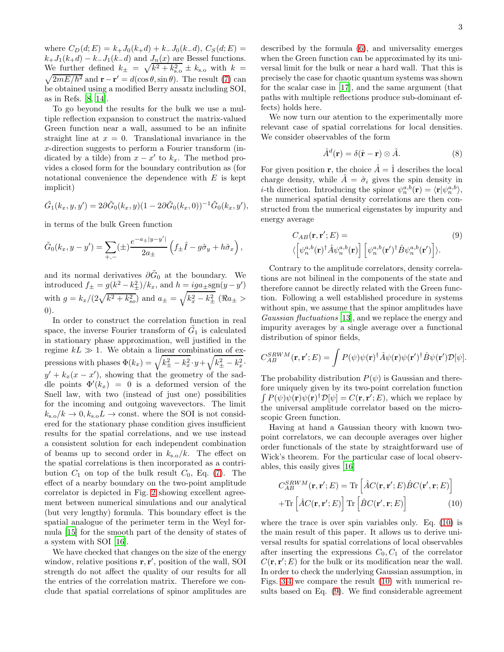where  $C_D(d; E) = k_+ J_0(k_+ d) + k_- J_0(k_- d)$ ,  $C_S(d; E) =$  $k_{+}J_1(k_{+}d) - k_{-}J_1(k_{-}d)$  and  $J_n(x)$  are Bessel functions. We further defined  $k_{\pm} = \sqrt{k^2 + k_{s.o}^2} \pm k_{s.o}$  with  $k = \sqrt{2mE/\hbar^2}$  and  $\mathbf{r} - \mathbf{r}' = d(\cos \theta, \sin \theta)$ . The result (7) can  $\sqrt{2mE/\hbar^2}$  and  $\mathbf{r} - \mathbf{r}' = d(\cos\theta, \sin\theta)$ . The result [\(7\)](#page-1-2) can be obtained using a modified Berry ansatz including SOI, as in Refs. [\[8,](#page-3-7) [14\]](#page-3-12).

To go beyond the results for the bulk we use a multiple reflection expansion to construct the matrix-valued Green function near a wall, assumed to be an infinite straight line at  $x = 0$ . Translational invariance in the x-direction suggests to perform a Fourier transform (indicated by a tilde) from  $x - x'$  to  $k_x$ . The method provides a closed form for the boundary contribution as (for notational convenience the dependence with  $E$  is kept implicit)

$$
\tilde{G}_1(k_x, y, y') = 2\partial \tilde{G}_0(k_x, y)(1 - 2\partial \tilde{G}_0(k_x, 0))^{-1} \tilde{G}_0(k_x, y'),
$$

in terms of the bulk Green function

$$
\tilde{G}_0(k_x, y - y') = \sum_{+,-} (\pm) \frac{e^{-a_{\pm} |y - y'|}}{2a_{\pm}} \left( f_{\pm} \hat{I} - g \hat{\sigma}_y + h \hat{\sigma}_x \right),
$$

and its normal derivatives  $\partial \tilde{G}_0$  at the boundary. We introduced  $f_{\pm} = g(k^2 - k_{\pm}^2)/k_x$ , and  $h = iga_{\pm}sgn(y - y')$ with  $g = k_x/(2\sqrt{k^2 + k_{so}^2})$  and  $a_{\pm} = \sqrt{k_x^2 - k_{\pm}^2}$  ( $\Re a_{\pm} >$ 0).

In order to construct the correlation function in real space, the inverse Fourier transform of  $\tilde{G}_1$  is calculated in stationary phase approximation, well justified in the regime  $kL \gg 1$ . We obtain a linear combination of expressions with phases  $\Phi(k_x) = \sqrt{k_{\pm}^2 - k_x^2} \cdot y + \sqrt{k_{\pm}^2 - k_x^2} \cdot y$  $y' + k_x(x - x')$ , showing that the geometry of the saddle points  $\Phi'(k_x) = 0$  is a deformed version of the Snell law, with two (instead of just one) possibilities for the incoming and outgoing wavevectors. The limit  $k_{s,o}/k \rightarrow 0, k_{s,o}L \rightarrow \text{const.}$  where the SOI is not considered for the stationary phase condition gives insufficient results for the spatial correlations, and we use instead a consistent solution for each independent combination of beams up to second order in  $k_{s.o.}/k$ . The effect on the spatial correlations is then incorporated as a contribution  $C_1$  on top of the bulk result  $C_0$ , Eq. [\(7\)](#page-1-2). The effect of a nearby boundary on the two-point amplitude correlator is depicted in Fig. [2](#page-1-1) showing excellent agreement between numerical simulations and our analytical (but very lengthy) formula. This boundary effect is the spatial analogue of the perimeter term in the Weyl formula [\[15\]](#page-3-13) for the smooth part of the density of states of a system with SOI [\[16\]](#page-4-0).

We have checked that changes on the size of the energy window, relative positions  $\mathbf{r}, \mathbf{r}'$ , position of the wall, SOI strength do not affect the quality of our results for all the entries of the correlation matrix. Therefore we conclude that spatial correlations of spinor amplitudes are described by the formula [\(6\)](#page-1-3), and universality emerges when the Green function can be approximated by its universal limit for the bulk or near a hard wall. That this is precisely the case for chaotic quantum systems was shown for the scalar case in [\[17](#page-4-1)], and the same argument (that paths with multiple reflections produce sub-dominant effects) holds here.

We now turn our atention to the experimentally more relevant case of spatial correlations for local densities. We consider observables of the form

$$
\hat{A}^d(\mathbf{r}) = \delta(\hat{\mathbf{r}} - \mathbf{r}) \otimes \hat{A}.
$$
 (8)

For given position **r**, the choice  $\hat{A} = \hat{1}$  describes the local charge density, while  $\hat{A} = \hat{\sigma}_i$  gives the spin density in *i*-th direction. Introducing the spinor  $\psi_n^{a,b}(\mathbf{r}) = \langle \mathbf{r} | \psi_n^{a,b} \rangle$ , the numerical spatial density correlations are then constructed from the numerical eigenstates by impurity and energy average

<span id="page-2-1"></span>
$$
C_{AB}(\mathbf{r}, \mathbf{r}'; E) = \langle \left[ \psi_n^{a,b}(\mathbf{r})^\dagger \hat{A} \psi_n^{a,b}(\mathbf{r}) \right] \left[ \psi_n^{a,b}(\mathbf{r}')^\dagger \hat{B} \psi_n^{a,b}(\mathbf{r}') \right] \rangle.
$$
 (9)

Contrary to the amplitude correlators, density correlations are not bilineal in the components of the state and therefore cannot be directly related with the Green function. Following a well established procedure in systems without spin, we assume that the spinor amplitudes have Gaussian fluctuations [\[13\]](#page-3-11), and we replace the energy and impurity averages by a single average over a functional distribution of spinor fields,

$$
C_{AB}^{SRWM}(\mathbf{r},\mathbf{r}';E) = \int P(\psi)\psi(\mathbf{r})^{\dagger}\hat{A}\psi(\mathbf{r})\psi(\mathbf{r}')^{\dagger}\hat{B}\psi(\mathbf{r}')\mathcal{D}[\psi].
$$

The probability distribution  $P(\psi)$  is Gaussian and therefore uniquely given by its two-point correlation function  $\int P(\psi)\psi(\mathbf{r})\psi(\mathbf{r})^{\dagger}\mathcal{D}[\psi] = C(\mathbf{r}, \mathbf{r}'; E)$ , which we replace by the universal amplitude correlator based on the microscopic Green function.

Having at hand a Gaussian theory with known twopoint correlators, we can decouple averages over higher order functionals of the state by straightforward use of Wick's theorem. For the particular case of local observables, this easily gives [\[16\]](#page-4-0)

<span id="page-2-0"></span>
$$
C_{AB}^{SRWM}(\mathbf{r}, \mathbf{r}'; E) = \text{Tr}\left[\hat{A}C(\mathbf{r}, \mathbf{r}'; E)\hat{B}C(\mathbf{r}', \mathbf{r}; E)\right] + \text{Tr}\left[\hat{A}C(\mathbf{r}, \mathbf{r}'; E)\right] \text{Tr}\left[\hat{B}C(\mathbf{r}', \mathbf{r}; E)\right]
$$
(10)

where the trace is over spin variables only. Eq. [\(10\)](#page-2-0) is the main result of this paper. It allows us to derive universal results for spatial correlations of local observables after inserting the expressions  $C_0, C_1$  of the correlator  $C(\mathbf{r}, \mathbf{r}'; E)$  for the bulk or its modification near the wall. In order to check the underlying Gaussian assumption, in Figs. [3](#page-3-14)[,4](#page-3-15) we compare the result [\(10\)](#page-2-0) with numerical results based on Eq. [\(9\)](#page-2-1). We find considerable agreement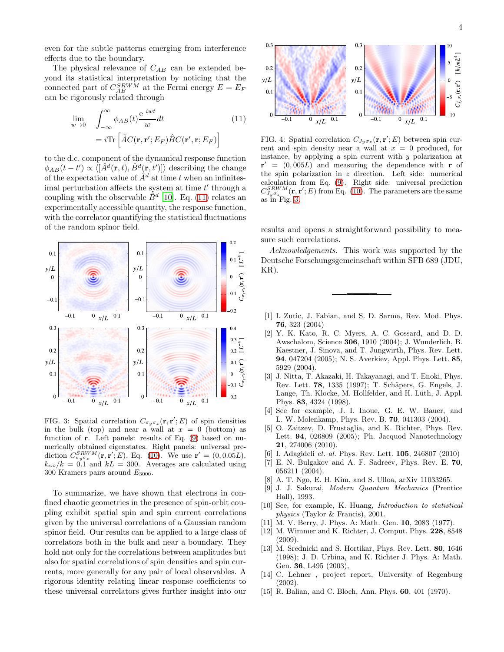even for the subtle patterns emerging from interference effects due to the boundary.

The physical relevance of  $C_{AB}$  can be extended beyond its statistical interpretation by noticing that the connected part of  $C_{AB}^{SRWM}$  at the Fermi energy  $E = E_F$ can be rigorously related through

<span id="page-3-17"></span>
$$
\lim_{w \to 0} \quad \int_{-\infty}^{\infty} \phi_{AB}(t) \frac{e^{iwt}}{w} dt \tag{11}
$$
\n
$$
= i \text{Tr} \left[ \hat{A} C(\mathbf{r}, \mathbf{r}'; E_F) \hat{B} C(\mathbf{r}', \mathbf{r}; E_F) \right]
$$

to the d.c. component of the dynamical response function  $\phi_{AB}(t-t') \propto \langle [\hat{A}^d(\mathbf{r},t), \hat{B}^d(\mathbf{r},t')] \rangle$  describing the change of the expectation value of  $\hat{A}^d$  at time t when an infinitesimal perturbation affects the system at time  $t'$  through a coupling with the observable  $\hat{B}^d$  [\[10](#page-3-16)]. Eq. [\(11\)](#page-3-17) relates an experimentally accessible quantity, the response function, with the correlator quantifying the statistical fluctuations of the random spinor field.



<span id="page-3-14"></span>FIG. 3: Spatial correlation  $C_{\sigma_y \sigma_z}(\mathbf{r}, \mathbf{r}'; E)$  of spin densities in the bulk (top) and near a wall at  $x = 0$  (bottom) as function of r. Left panels: results of Eq. [\(9\)](#page-2-1) based on numerically obtained eigenstates. Right panels: universal prediction  $C_{\sigma_y \sigma_z}^{SRWM}(\mathbf{r}, \mathbf{r}'; E)$ , Eq. [\(10\)](#page-2-0). We use  $\mathbf{r}' = (0, 0.05L)$ ,  $k_{\rm s,o}/k = 0.1$  and  $kL = 300$ . Averages are calculated using 300 Kramers pairs around E3000.

To summarize, we have shown that electrons in confined chaotic geometries in the presence of spin-orbit coupling exhibit spatial spin and spin current correlations given by the universal correlations of a Gaussian random spinor field. Our results can be applied to a large class of correlators both in the bulk and near a boundary. They hold not only for the correlations between amplitudes but also for spatial correlations of spin densities and spin currents, more generally for any pair of local observables. A rigorous identity relating linear response coefficients to these universal correlators gives further insight into our

<span id="page-3-15"></span>FIG. 4: Spatial correlation  $C_{J_y \sigma_z}(\mathbf{r}, \mathbf{r}'; E)$  between spin current and spin density near a wall at  $x = 0$  produced, for instance, by applying a spin current with y polarization at  $\mathbf{r}' = (0,005L)$  and measuring the dependence with r of the spin polarization in z direction. Left side: numerical calculation from Eq. [\(9\)](#page-2-1). Right side: universal prediction  $C_{J_y\sigma_z}^{SRWM}(\mathbf{r},\mathbf{r}';E)$  from Eq. [\(10\)](#page-2-0). The parameters are the same as in Fig. [3.](#page-3-14)

results and opens a straightforward possibility to measure such correlations.

Acknowledgements. This work was supported by the Deutsche Forschungsgemeinschaft within SFB 689 (JDU, KR).

- <span id="page-3-0"></span>[1] I. Zutic, J. Fabian, and S. D. Sarma, Rev. Mod. Phys. 76, 323 (2004)
- <span id="page-3-1"></span>[2] Y. K. Kato, R. C. Myers, A. C. Gossard, and D. D. Awschalom, Science 306, 1910 (2004); J. Wunderlich, B. Kaestner, J. Sinova, and T. Jungwirth, Phys. Rev. Lett. 94, 047204 (2005); N. S. Averkiev, Appl. Phys. Lett. 85, 5929 (2004).
- <span id="page-3-3"></span>[3] J. Nitta, T. Akazaki, H. Takayanagi, and T. Enoki, Phys. Rev. Lett. **78**, 1335 (1997); T. Schäpers, G. Engels, J. Lange, Th. Klocke, M. Hollfelder, and H. Lüth, J. Appl. Phys. 83, 4324 (1998).
- <span id="page-3-2"></span>[4] See for example, J. I. Inoue, G. E. W. Bauer, and L. W. Molenkamp, Phys. Rev. B. 70, 041303 (2004).
- <span id="page-3-4"></span>[5] O. Zaitzev, D. Frustaglia, and K. Richter, Phys. Rev. Lett. 94, 026809 (2005); Ph. Jacquod Nanotechnology 21, 274006 (2010).
- <span id="page-3-5"></span>[6] I. Adagideli *et. al.* Phys. Rev. Lett. **105**, 246807 (2010)
- <span id="page-3-6"></span>[7] E. N. Bulgakov and A. F. Sadreev, Phys. Rev. E. 70, 056211 (2004).
- <span id="page-3-7"></span>[8] A. T. Ngo, E. H. Kim, and S. Ulloa, arXiv 11033265.
- <span id="page-3-8"></span>[9] J. J. Sakurai, Modern Quantum Mechanics (Prentice Hall), 1993.
- <span id="page-3-16"></span>[10] See, for example, K. Huang, Introduction to statistical physics (Taylor & Francis), 2001.
- <span id="page-3-9"></span>[11] M. V. Berry, J. Phys. A: Math. Gen. 10, 2083 (1977).
- <span id="page-3-10"></span>[12] M. Wimmer and K. Richter, J. Comput. Phys. 228, 8548 (2009).
- <span id="page-3-11"></span>[13] M. Srednicki and S. Hortikar, Phys. Rev. Lett. 80, 1646 (1998); J. D. Urbina, and K. Richter J. Phys. A: Math. Gen. 36, L495 (2003),
- <span id="page-3-12"></span>[14] C. Lehner , project report, University of Regenburg (2002).
- <span id="page-3-13"></span>[15] R. Balian, and C. Bloch, Ann. Phys. 60, 401 (1970).